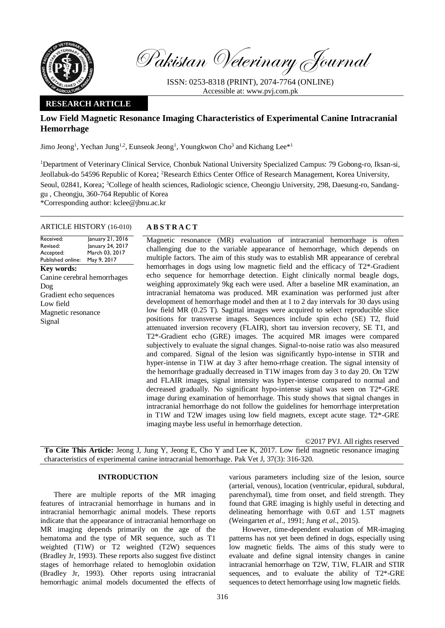

Pakistan Veterinary Journal

ISSN: 0253-8318 (PRINT), 2074-7764 (ONLINE) Accessible at: [www.pvj.com.pk](http://www.pvj.com.pk/)

## **RESEARCH ARTICLE**

# **Low Field Magnetic Resonance Imaging Characteristics of Experimental Canine Intracranial Hemorrhage**

Jimo Jeong<sup>1</sup>, Yechan Jung<sup>1,2</sup>, Eunseok Jeong<sup>1</sup>, Youngkwon Cho<sup>3</sup> and Kichang Lee<sup>\*1</sup>

<sup>1</sup>Department of Veterinary Clinical Service, Chonbuk National University Specialized Campus: 79 Gobong-ro, Iksan-si, Jeollabuk-do 54596 Republic of Korea; <sup>2</sup>Research Ethics Center Office of Research Management, Korea University,

Seoul, 02841, Korea; 3College of health sciences, Radiologic science, Cheongju University, 298, Daesung-ro, Sandanggu , Cheongju, 360-764 Republic of Korea

\*Corresponding author: kclee@jbnu.ac.kr

#### ARTICLE HISTORY (16-010) **A B S T R A C T**

Received: Revised: Accepted: Published online: January 21, 2016 January 24, 2017 March 03, 2017 May 9, 2017 **Key words:**  Canine cerebral hemorrhages Dog Gradient echo sequences Low field Magnetic resonance Signal

Magnetic resonance (MR) evaluation of intracranial hemorrhage is often challenging due to the variable appearance of hemorrhage, which depends on multiple factors. The aim of this study was to establish MR appearance of cerebral hemorrhages in dogs using low magnetic field and the efficacy of T2<sup>\*</sup>-Gradient echo sequence for hemorrhage detection. Eight clinically normal beagle dogs, weighing approximately 9kg each were used. After a baseline MR examination, an intracranial hematoma was produced. MR examination was performed just after development of hemorrhage model and then at 1 to 2 day intervals for 30 days using low field MR (0.25 T). Sagittal images were acquired to select reproducible slice positions for transverse images. Sequences include spin echo (SE) T2, fluid attenuated inversion recovery (FLAIR), short tau inversion recovery, SE T1, and T2\*-Gradient echo (GRE) images. The acquired MR images were compared subjectively to evaluate the signal changes. Signal-to-noise ratio was also measured and compared. Signal of the lesion was significantly hypo-intense in STIR and hyper-intense in T1W at day 3 after hemo-rrhage creation. The signal intensity of the hemorrhage gradually decreased in T1W images from day 3 to day 20. On T2W and FLAIR images, signal intensity was hyper-intense compared to normal and decreased gradually. No significant hypo-intense signal was seen on T2\*-GRE image during examination of hemorrhage. This study shows that signal changes in intracranial hemorrhage do not follow the guidelines for hemorrhage interpretation in T1W and T2W images using low field magnets, except acute stage. T2\*-GRE imaging maybe less useful in hemorrhage detection.

©2017 PVJ. All rights reserved

**To Cite This Article:** Jeong J, Jung Y, Jeong E, Cho Y and Lee K, 2017. Low field magnetic resonance imaging characteristics of experimental canine intracranial hemorrhage. Pak Vet J, 37(3): 316-320.

#### **INTRODUCTION**

There are multiple reports of the MR imaging features of intracranial hemorrhage in humans and in intracranial hemorrhagic animal models. These reports indicate that the appearance of intracranial hemorrhage on MR imaging depends primarily on the age of the hematoma and the type of MR sequence, such as T1 weighted (T1W) or T2 weighted (T2W) sequences (Bradley Jr, 1993). These reports also suggest five distinct stages of hemorrhage related to hemoglobin oxidation (Bradley Jr, 1993). Other reports using intracranial hemorrhagic animal models documented the effects of

various parameters including size of the lesion, source (arterial, venous), location (ventricular, epidural, subdural, parenchymal), time from onset, and field strength. They found that GRE imaging is highly useful in detecting and delineating hemorrhage with 0.6T and 1.5T magnets (Weingarten *et al*., 1991; Jung *et al*., 2015).

However, time-dependent evaluation of MR-imaging patterns has not yet been defined in dogs, especially using low magnetic fields. The aims of this study were to evaluate and define signal intensity changes in canine intracranial hemorrhage on T2W, T1W, FLAIR and STIR sequences, and to evaluate the ability of T2\*-GRE sequences to detect hemorrhage using low magnetic fields.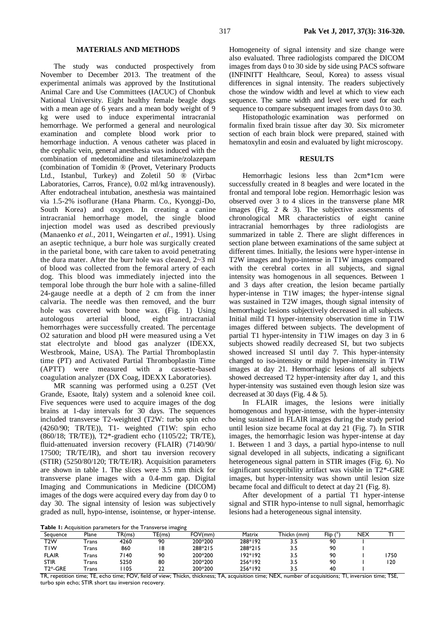#### **MATERIALS AND METHODS**

The study was conducted prospectively from November to December 2013. The treatment of the experimental animals was approved by the Institutional Animal Care and Use Committees (IACUC) of Chonbuk National University. Eight healthy female beagle dogs with a mean age of 6 years and a mean body weight of 9 kg were used to induce experimental intracranial hemorrhage. We performed a general and neurological examination and complete blood work prior to hemorrhage induction. A venous catheter was placed in the cephalic vein, general anesthesia was induced with the combination of medetomidine and tiletamine/zolazepam (combination of Tomidin ® (Provet, Veterinary Products Ltd., Istanbul, Turkey) and Zoletil 50 ® (Virbac Laboratories, Carros, France), 0.02 ml/kg intravenously). After endotracheal intubation, anesthesia was maintained via 1.5-2% isoflurane (Hana Pharm. Co., Kyonggi-Do, South Korea) and oxygen. In creating a canine intracranial hemorrhage model, the single blood injection model was used as described previously (Manaenko *et al.*, 2011, Weingarten *et al.*, 1991). Using an aseptic technique, a burr hole was surgically created in the parietal bone, with care taken to avoid penetrating the dura mater. After the burr hole was cleaned, 2~3 ml of blood was collected from the femoral artery of each dog. This blood was immediately injected into the temporal lobe through the burr hole with a saline-filled 24-gauge needle at a depth of 2 cm from the inner calvaria. The needle was then removed, and the burr hole was covered with bone wax. (Fig. 1) Using autologous arterial blood, eight intracranial hemorrhages were successfully created. The percentage O2 saturation and blood pH were measured using a Vet stat electrolyte and blood gas analyzer (IDEXX, Westbrook, Maine, USA). The Partial Thromboplastin time (PT) and Activated Partial Thromboplastin Time (APTT) were measured with a cassette-based coagulation analyzer (DX Coag, IDEXX Laboratories).

MR scanning was performed using a 0.25T (Vet Grande, Esaote, Italy) system and a solenoid knee coil. Five sequences were used to acquire images of the dog brains at 1-day intervals for 30 days. The sequences included transverse T2-weighted (T2W: turbo spin echo (4260/90; TR/TE)), T1- weighted (T1W: spin echo (860/18; TR/TE)), T2\*-gradient echo (1105/22; TR/TE), fluid-attenuated inversion recovery (FLAIR) (7140/90/ 17500; TR/TE/IR), and short tau inversion recovery (STIR) (5250/80/120; TR/TE/IR). Acquisition parameters are shown in table 1. The slices were 3.5 mm thick for transverse plane images with a 0.4-mm gap. Digital Imaging and Communications in Medicine (DICOM) images of the dogs were acquired every day from day 0 to day 30. The signal intensity of lesion was subjectively graded as null, hypo-intense, isointense, or hyper-intense.

Homogeneity of signal intensity and size change were also evaluated. Three radiologists compared the DICOM images from days 0 to 30 side by side using PACS software (INFINITT Healthcare, Seoul, Korea) to assess visual differences in signal intensity. The readers subjectively chose the window width and level at which to view each sequence. The same width and level were used for each sequence to compare subsequent images from days 0 to 30.

Histopathologic examination was performed on formalin fixed brain tissue after day 30. Six micrometer section of each brain block were prepared, stained with hematoxylin and eosin and evaluated by light microscopy.

#### **RESULTS**

Hemorrhagic lesions less than 2cm\*1cm were successfully created in 8 beagles and were located in the frontal and temporal lobe region. Hemorrhagic lesion was observed over 3 to 4 slices in the transverse plane MR images (Fig. 2 & 3). The subjective assessments of chronological MR characteristics of eight canine intracranial hemorrhages by three radiologists are summarized in table 2. There are slight differences in section plane between examinations of the same subject at different times. Initially, the lesions were hyper-intense in T2W images and hypo-intense in T1W images compared with the cerebral cortex in all subjects, and signal intensity was homogenous in all sequences. Between 1 and 3 days after creation, the lesion became partially hyper-intense in T1W images; the hyper-intense signal was sustained in T2W images, though signal intensity of hemorrhagic lesions subjectively decreased in all subjects. Initial mild T1 hyper-intensity observation time in T1W images differed between subjects. The development of partial T1 hyper-intensity in T1W images on day 3 in 6 subjects showed readily decreased SI, but two subjects showed increased SI until day 7. This hyper-intensity changed to iso-intensity or mild hyper-intensity in T1W images at day 21. Hemorrhagic lesions of all subjects showed decreased T2 hyper-intensity after day 1, and this hyper-intensity was sustained even though lesion size was decreased at 30 days (Fig. 4 & 5).

In FLAIR images, the lesions were initially homogenous and hyper-intense, with the hyper-intensity being sustained in FLAIR images during the study period until lesion size became focal at day 21 (Fig. 7). In STIR images, the hemorrhagic lesion was hyper-intense at day 1. Between 1 and 3 days, a partial hypo-intense to null signal developed in all subjects, indicating a significant heterogeneous signal pattern in STIR images (Fig. 6). No significant susceptibility artifact was visible in T2\*-GRE images, but hyper-intensity was shown until lesion size became focal and difficult to detect at day 21 (Fig. 8).

After development of a partial T1 hyper-intense signal and STIR hypo-intense to null signal, hemorrhagic lesions had a heterogeneous signal intensity.

**Table 1:** Acquisition parameters for the Tr

| <b>Table 1:</b> Acquisition parameters for the Transverse imaging |       |        |           |         |         |             |      |     |     |  |  |  |
|-------------------------------------------------------------------|-------|--------|-----------|---------|---------|-------------|------|-----|-----|--|--|--|
| Sequence                                                          | Plane | TR(ms) | TE(ms)    | FOV/mm  | Matrix  | Thickn (mm) | Flip | NEX |     |  |  |  |
| T2W                                                               | rans  | 4260   | 90        | 200*200 | 288*192 |             | 90   |     |     |  |  |  |
| TIW                                                               | Trans | 860    |           | 288*215 | 288*215 | 3.5         | 90   |     |     |  |  |  |
| <b>FLAIR</b>                                                      | -rans | 7140   | 90        | 200*200 | 192*192 | 3.5         | 90   |     | 750 |  |  |  |
| <b>STIR</b>                                                       | -rans | 5250   | 80        | 200*200 | 256*192 | 3.5         | 90   |     | 120 |  |  |  |
| T <sub>2</sub> *-GRE                                              | -rans | 105    | າາ<br>. . | 200*200 | 256*192 | 3.5         | 40   |     |     |  |  |  |

TR, repetition time; TE, echo time; FOV, field of view; Thickn, thickness; TA, acquisition time; NEX, number of acquisitions; TI, inversion time; TSE, turbo spin echo; STIR short tau inversion recovery.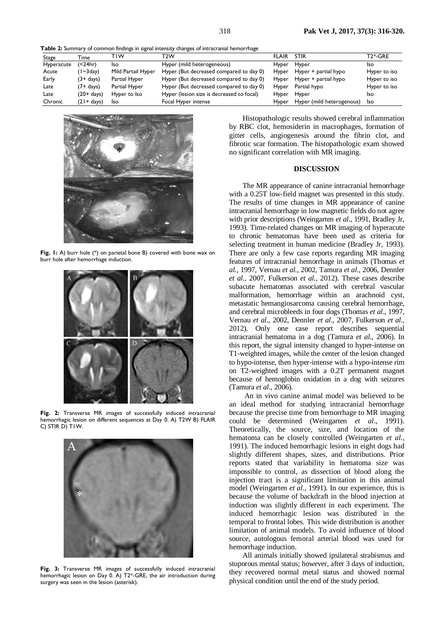**Table 2:** Summary of common findings in signal intensity changes of intracranial hemorrhage

| Stage      | Time          | TIW                | T2W                                       | <b>FLAIR</b> | <b>STIR</b>               | T2*-GRE      |
|------------|---------------|--------------------|-------------------------------------------|--------------|---------------------------|--------------|
| Hyperacute | (<24hr)       | Iso                | Hyper (mild heterogeneous)                | Hyper        | Hyper                     | Iso          |
| Acute      | $(1 - 3day)$  | Mild Partail Hyper | Hyper (But decreased compared to day 0)   | Hyper        | Hyper + partial hypo      | Hyper to iso |
| Early      | (3+ days)     | Partial Hyper      | Hyper (But decreased compared to day 0)   | Hyper        | Hyper + partial hypo      | Hyper to iso |
| Late       | (7+ days)     | Partial Hyper      | Hyper (But decreased compared to day 0)   | Hyper        | Partial hypo              | Hyper to iso |
| Late       | (20+ days)    | Hyper to Iso       | Hyper (lesion size is decreased to focal) | Hyper        | Hyper                     | Iso          |
| Chronic    | $(21 + days)$ | Iso                | Focal Hyper intense                       | Hyper        | Hyper (mild heterogenous) | Iso          |



**Fig. 1:** A) burr hole (\*) on parietal bone B) covered with bone wax on burr hole after hemorrhage induction.



**Fig. 2:** Transverse MR images of successfully induced intracranial hemorrhagic lesion on different sequences at Day 0. A) T2W B) FLAIR C) STIR D) T1W.



**Fig. 3:** Transverse MR images of successfully induced intracranial hemorrhagic lesion on Day 0. A) T2\*-GRE, the air introduction during surgery was seen in the lesion (asterisk).

Histopathologic results showed cerebral inflammation by RBC clot, hemosiderin in macrophages, formation of gitter cells, angiogenesis around the fibrin clot, and fibrotic scar formation. The histopathologic exam showed no significant correlation with MR imaging.

### **DISCUSSION**

The MR appearance of canine intracranial hemorrhage with a 0.25T low-field magnet was presented in this study. The results of time changes in MR appearance of canine intracranial hemorrhage in low magnetic fields do not agree with prior descriptions (Weingarten *et al*., 1991, Bradley Jr, 1993). Time-related changes on MR imaging of hyperacute to chronic hematomas have been used as criteria for selecting treatment in human medicine (Bradley Jr, 1993). There are only a few case reports regarding MR imaging features of intracranial hemorrhage in animals (Thomas *et al.*, 1997, Vernau *et al.*, 2002, Tamura *et al.*, 2006, Dennler *et al.*, 2007, Fulkerson *et al.*, 2012). These cases describe subacute hematomas associated with cerebral vascular malformation, hemorrhage within an arachnoid cyst, metastatic hemangiosarcoma causing cerebral hemorrhage, and cerebral microbleeds in four dogs (Thomas *et al*., 1997, Vernau *et al*., 2002, Dennler *et al*., 2007, Fulkerson *et al*., 2012). Only one case report describes sequential intracranial hematoma in a dog (Tamura *et al*., 2006). In this report, the signal intensity changed to hyper-intense on T1-weighted images, while the center of the lesion changed to hypo-intense, then hyper-intense with a hypo-intense rim on T2-weighted images with a 0.2T permanent magnet because of hemoglobin oxidation in a dog with seizures (Tamura *et al*., 2006).

An in vivo canine animal model was believed to be an ideal method for studying intracranial hemorrhage because the precise time from hemorrhage to MR imaging could be determined (Weingarten *et al*., 1991). Theoretically, the source, size, and location of the hematoma can be closely controlled (Weingarten *et al*., 1991). The induced hemorrhagic lesions in eight dogs had slightly different shapes, sizes, and distributions. Prior reports stated that variability in hematoma size was impossible to control, as dissection of blood along the injection tract is a significant limitation in this animal model (Weingarten *et al*., 1991). In our experience, this is because the volume of backdraft in the blood injection at induction was slightly different in each experiment. The induced hemorrhagic lesion was distributed in the temporal to frontal lobes. This wide distribution is another limitation of animal models. To avoid influence of blood source, autologous femoral arterial blood was used for hemorrhage induction.

All animals initially showed ipsilateral strabismus and stuporous mental status; however, after 3 days of induction, they recovered normal metal status and showed normal physical condition until the end of the study period.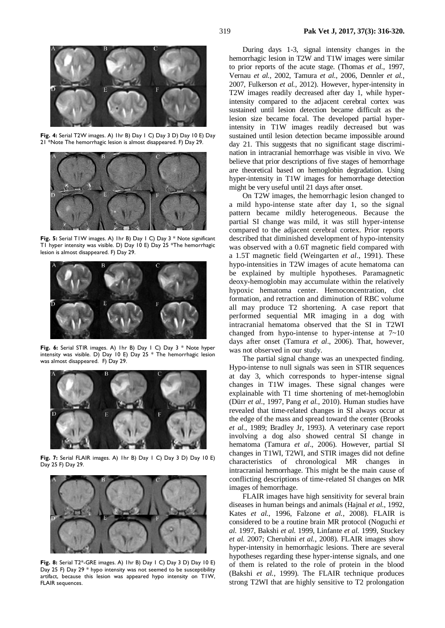**Fig. 4:** Serial T2W images. A) 1hr B) Day 1 C) Day 3 D) Day 10 E) Day 21 \*Note The hemorrhagic lesion is almost disappeared. F) Day 29.



**Fig. 5:** Serial T1W images. A) 1hr B) Day 1 C) Day 3 \* Note significant T1 hyper intensity was visible. D) Day 10 E) Day 25 \*The hemorrhagic lesion is almost disappeared. F) Day 29.



**Fig. 6:** Serial STIR images. A) 1hr B) Day 1 C) Day 3 \* Note hyper intensity was visible. D) Day 10 E) Day 25  $*$  The hemorrhagic lesion was almost disappeared. F) Day 29.



**Fig. 7:** Serial FLAIR images. A) 1hr B) Day 1 C) Day 3 D) Day 10 E) Day 25 F) Day 29.



**Fig. 8:** Serial T2\*-GRE images. A) 1hr B) Day 1 C) Day 3 D) Day 10 E) Day 25 F) Day 29 \* hypo intensity was not seemed to be susceptibility artifact, because this lesion was appeared hypo intensity on T1W, FLAIR sequences.

During days 1-3, signal intensity changes in the hemorrhagic lesion in T2W and T1W images were similar to prior reports of the acute stage. (Thomas *et al.*, 1997, Vernau *et al.*, 2002, Tamura *et al.*, 2006, Dennler *et al.*, 2007, Fulkerson *et al.*, 2012). However, hyper-intensity in T2W images readily decreased after day 1, while hyperintensity compared to the adjacent cerebral cortex was sustained until lesion detection became difficult as the lesion size became focal. The developed partial hyperintensity in T1W images readily decreased but was sustained until lesion detection became impossible around day 21. This suggests that no significant stage discrimination in intracranial hemorrhage was visible in vivo. We believe that prior descriptions of five stages of hemorrhage are theoretical based on hemoglobin degradation. Using hyper-intensity in T1W images for hemorrhage detection might be very useful until 21 days after onset.

On T2W images, the hemorrhagic lesion changed to a mild hypo-intense state after day 1, so the signal pattern became mildly heterogeneous. Because the partial SI change was mild, it was still hyper-intense compared to the adjacent cerebral cortex. Prior reports described that diminished development of hypo-intensity was observed with a 0.6T magnetic field compared with a 1.5T magnetic field (Weingarten *et al*., 1991). These hypo-intensities in T2W images of acute hematoma can be explained by multiple hypotheses. Paramagnetic deoxy-hemoglobin may accumulate within the relatively hypoxic hematoma center. Hemoconcentration, clot formation, and retraction and diminution of RBC volume all may produce T2 shortening. A case report that performed sequential MR imaging in a dog with intracranial hematoma observed that the SI in T2WI changed from hypo-intense to hyper-intense at 7~10 days after onset (Tamura *et al*., 2006). That, however, was not observed in our study.

The partial signal change was an unexpected finding. Hypo-intense to null signals was seen in STIR sequences at day 3, which corresponds to hyper-intense signal changes in T1W images. These signal changes were explainable with T1 time shortening of met-hemoglobin (Dürr *et al.*, 1997, Pang *et al.*, 2010). Human studies have revealed that time-related changes in SI always occur at the edge of the mass and spread toward the center (Brooks *et al.*, 1989; Bradley Jr, 1993). A veterinary case report involving a dog also showed central SI change in hematoma (Tamura *et al*., 2006). However, partial SI changes in T1WI, T2WI, and STIR images did not define characteristics of chronological MR changes in intracranial hemorrhage. This might be the main cause of conflicting descriptions of time-related SI changes on MR images of hemorrhage.

FLAIR images have high sensitivity for several brain diseases in human beings and animals (Hajnal *et al.*, 1992, Kates *et al.*, 1996, Falzone *et al.*, 2008). FLAIR is considered to be a routine brain MR protocol (Noguchi *et al.* 1997, Bakshi *et al.* 1999, Linfante *et al.* 1999, Stuckey *et al.* 2007; Cherubini *et al.*, 2008). FLAIR images show hyper-intensity in hemorrhagic lesions. There are several hypotheses regarding these hyper-intense signals, and one of them is related to the role of protein in the blood (Bakshi *et al.*, 1999). The FLAIR technique produces strong T2WI that are highly sensitive to T2 prolongation